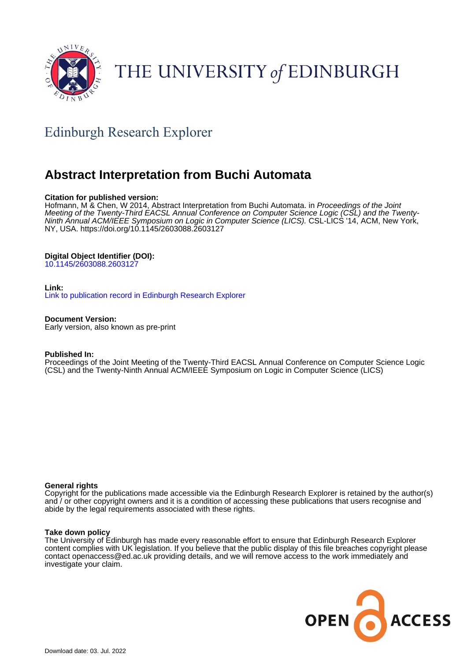

# THE UNIVERSITY of EDINBURGH

## Edinburgh Research Explorer

## **Abstract Interpretation from Buchi Automata**

## **Citation for published version:**

Hofmann, M & Chen, W 2014, Abstract Interpretation from Buchi Automata. in Proceedings of the Joint Meeting of the Twenty-Third EACSL Annual Conference on Computer Science Logic (CSL) and the Twenty-Ninth Annual ACM/IEEE Symposium on Logic in Computer Science (LICS). CSL-LICS '14, ACM, New York, NY, USA. <https://doi.org/10.1145/2603088.2603127>

## **Digital Object Identifier (DOI):**

[10.1145/2603088.2603127](https://doi.org/10.1145/2603088.2603127)

## **Link:**

[Link to publication record in Edinburgh Research Explorer](https://www.research.ed.ac.uk/en/publications/14535450-49d9-4e81-b913-55af4d4a4ac5)

## **Document Version:**

Early version, also known as pre-print

## **Published In:**

Proceedings of the Joint Meeting of the Twenty-Third EACSL Annual Conference on Computer Science Logic (CSL) and the Twenty-Ninth Annual ACM/IEEE Symposium on Logic in Computer Science (LICS)

## **General rights**

Copyright for the publications made accessible via the Edinburgh Research Explorer is retained by the author(s) and / or other copyright owners and it is a condition of accessing these publications that users recognise and abide by the legal requirements associated with these rights.

## **Take down policy**

The University of Edinburgh has made every reasonable effort to ensure that Edinburgh Research Explorer content complies with UK legislation. If you believe that the public display of this file breaches copyright please contact openaccess@ed.ac.uk providing details, and we will remove access to the work immediately and investigate your claim.

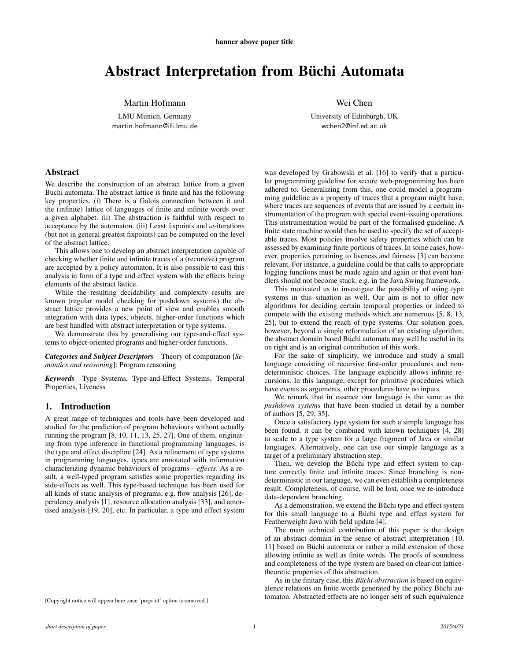## Abstract Interpretation from Büchi Automata

Martin Hofmann

LMU Munich, Germany martin.hofmann@ifi.lmu.de Wei Chen

University of Edinburgh, UK wchen2@inf.ed.ac.uk

#### Abstract

We describe the construction of an abstract lattice from a given Buchi automata. The abstract lattice is finite and has the following key properties. (i) There is a Galois connection between it and the (infinite) lattice of languages of finite and infinite words over a given alphabet. (ii) The abstraction is faithful with respect to acceptance by the automaton. (iii) Least fixpoints and  $\omega$ -iterations (but not in general greatest fixpoints) can be computed on the level of the abstract lattice.

This allows one to develop an abstract interpretation capable of checking whether finite and infinite traces of a (recursive) program are accepted by a policy automaton. It is also possible to cast this analysis in form of a type and effect system with the effects being elements of the abstract lattice.

While the resulting decidability and complexity results are known (regular model checking for pushdown systems) the abstract lattice provides a new point of view and enables smooth integration with data types, objects, higher-order functions which are best handled with abstract interpretation or type systems.

We demonstrate this by generalising our type-and-effect systems to object-oriented programs and higher-order functions.

*Categories and Subject Descriptors* Theory of computation [*Semantics and reasoning*]: Program reasoning

*Keywords* Type Systems, Type-and-Effect Systems, Temporal Properties, Liveness

### 1. Introduction

A great range of techniques and tools have been developed and studied for the prediction of program behaviours without actually running the program [8, 10, 11, 13, 25, 27]. One of them, originating from type inference in functional programming languages, is the type and effect discipline [24]. As a refinement of type systems in programming languages, types are annotated with information characterizing dynamic behaviours of programs—*effects*. As a result, a well-typed program satisfies some properties regarding its side-effects as well. This type-based technique has been used for all kinds of static analysis of programs, e.g. flow analysis [26], dependency analysis [1], resource allocation analysis [33], and amortised analysis [19, 20], etc. In particular, a type and effect system

[Copyright notice will appear here once 'preprint' option is removed.]

was developed by Grabowski et al. [16] to verify that a particular programming guideline for secure web-programming has been adhered to. Generalizing from this, one could model a programming guideline as a property of traces that a program might have, where traces are sequences of events that are issued by a certain instrumentation of the program with special event-issuing operations. This instrumentation would be part of the formalised guideline. A finite state machine would then be used to specify the set of acceptable traces. Most policies involve safety properties which can be assessed by examining finite portions of traces. In some cases, however, properties pertaining to liveness and fairness [3] can become relevant. For instance, a guideline could be that calls to appropriate logging functions must be made again and again or that event handlers should not become stuck, e.g. in the Java Swing framework.

This motivated us to investigate the possibility of using type systems in this situation as well. Our aim is not to offer new algorithms for deciding certain temporal properties or indeed to compete with the existing methods which are numerous [5, 8, 13, 25], but to extend the reach of type systems. Our solution goes, however, beyond a simple reformulation of an existing algorithm; the abstract domain based Büchi automata may well be useful in its on right and is an original contribution of this work.

For the sake of simplicity, we introduce and study a small language consisting of recursive first-order procedures and nondeterministic choices. The language explicitly allows infinite recursions. In this language, except for primitive procedures which have events as arguments, other procedures have no inputs.

We remark that in essence our language is the same as the *pushdown systems* that have been studied in detail by a number of authors [5, 29, 35].

Once a satisfactory type system for such a simple language has been found, it can be combined with known techniques [4, 28] to scale to a type system for a large fragment of Java or similar languages. Alternatively, one can use our simple language as a target of a preliminary abstraction step.

Then, we develop the Büchi type and effect system to capture correctly finite and infinite traces. Since branching is nondeterministic in our language, we can even establish a completeness result. Completeness, of course, will be lost, once we re-introduce data-dependent branching.

As a demonstration, we extend the Büchi type and effect system for this small language to a Büchi type and effect system for Featherweight Java with field update [4].

The main technical contribution of this paper is the design of an abstract domain in the sense of abstract interpretation [10, 11] based on Büchi automata or rather a mild extension of those allowing infinite as well as finite words. The proofs of soundness and completeness of the type system are based on clear-cut latticetheoretic properties of this abstraction.

As in the finitary case, this *Büchi abstraction* is based on equivalence relations on finite words generated by the policy Büchi automaton. Abstracted effects are no longer sets of such equivalence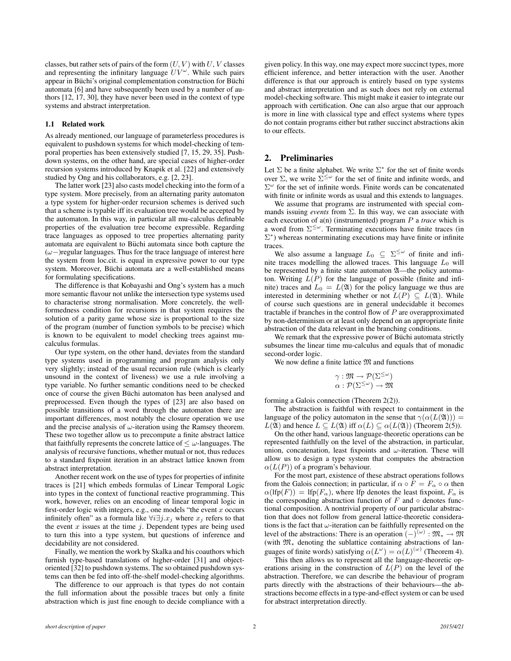classes, but rather sets of pairs of the form  $(U, V)$  with  $U, V$  classes and representing the infinitary language  $UV^{\omega}$ . While such pairs appear in Büchi's original complementation construction for Büchi automata [6] and have subsequently been used by a number of authors [12, 17, 30], they have never been used in the context of type systems and abstract interpretation.

#### 1.1 Related work

As already mentioned, our language of parameterless procedures is equivalent to pushdown systems for which model-checking of temporal properties has been extensively studied [7, 15, 29, 35]. Pushdown systems, on the other hand, are special cases of higher-order recursion systems introduced by Knapik et al. [22] and extensively studied by Ong and his collaborators, e.g. [2, 23].

The latter work [23] also casts model checking into the form of a type system. More precisely, from an alternating parity automaton a type system for higher-order recursion schemes is derived such that a scheme is typable iff its evaluation tree would be accepted by the automaton. In this way, in particular all mu-calculus definable properties of the evaluation tree become expressible. Regarding trace languages as opposed to tree properties alternating parity automata are equivalent to Büchi automata since both capture the  $(\omega-)$ regular languages. Thus for the trace language of interest here the system from loc.cit. is equal in expressive power to our type system. Moreover, Büchi automata are a well-established means for formulating specifications.

The difference is that Kobayashi and Ong's system has a much more semantic flavour not unlike the intersection type systems used to characterise strong normalisation. More concretely, the wellformedness condition for recursions in that system requires the solution of a parity game whose size is proportional to the size of the program (number of function symbols to be precise) which is known to be equivalent to model checking trees against mucalculus formulas.

Our type system, on the other hand, deviates from the standard type systems used in programming and program analysis only very slightly; instead of the usual recursion rule (which is clearly unsound in the context of liveness) we use a rule involving a type variable. No further semantic conditions need to be checked once of course the given Büchi automaton has been analysed and preprocessed. Even though the types of [23] are also based on possible transitions of a word through the automaton there are important differences, most notably the closure operation we use and the precise analysis of  $\omega$ -iteration using the Ramsey theorem. These two together allow us to precompute a finite abstract lattice that faithfully represents the concrete lattice of  $\leq \omega$ -languages. The analysis of recursive functions, whether mutual or not, thus reduces to a standard fixpoint iteration in an abstract lattice known from abstract interpretation.

Another recent work on the use of types for properties of infinite traces is [21] which embeds formulas of Linear Temporal Logic into types in the context of functional reactive programming. This work, however, relies on an encoding of linear temporal logic in first-order logic with integers, e.g., one models "the event  $x$  occurs infinitely often" as a formula like  $\forall i \exists j.x_j$  where  $x_j$  refers to that the event  $x$  issues at the time  $i$ . Dependent types are being used to turn this into a type system, but questions of inference and decidability are not considered.

Finally, we mention the work by Skalka and his coauthors which furnish type-based translations of higher-order [31] and objectoriented [32] to pushdown systems. The so obtained pushdown systems can then be fed into off-the-shelf model-checking algorithms.

The difference to our approach is that types do not contain the full information about the possible traces but only a finite abstraction which is just fine enough to decide compliance with a given policy. In this way, one may expect more succinct types, more efficient inference, and better interaction with the user. Another difference is that our approach is entirely based on type systems and abstract interpretation and as such does not rely on external model-checking software. This might make it easier to integrate our approach with certification. One can also argue that our approach is more in line with classical type and effect systems where types do not contain programs either but rather succinct abstractions akin to our effects.

## 2. Preliminaries

Let  $\Sigma$  be a finite alphabet. We write  $\Sigma^*$  for the set of finite words over  $\Sigma$ , we write  $\Sigma^{\leq \omega}$  for the set of finite and infinite words, and  $\Sigma^{\omega}$  for the set of infinite words. Finite words can be concatenated with finite or infinite words as usual and this extends to languages.

We assume that programs are instrumented with special commands issuing *events* from Σ. In this way, we can associate with each execution of a(n) (instrumented) program P a *trace* which is a word from  $\Sigma^{\leq \omega}$ . Terminating executions have finite traces (in  $\Sigma^*$ ) whereas nonterminating executions may have finite or infinite traces.

We also assume a language  $L_0 \subseteq \Sigma^{\leq \omega}$  of finite and infinite traces modelling the allowed traces. This language  $L_0$  will be represented by a finite state automaton  $\mathfrak{A}$ —the policy automaton. Writing  $L(P)$  for the language of possible (finite and infinite) traces and  $L_0 = L(\mathfrak{A})$  for the policy language we thus are interested in determining whether or not  $L(P) \subseteq L(\mathfrak{A})$ . While of course such questions are in general undecidable it becomes tractable if branches in the control flow of  $P$  are overapproximated by non-determinism or at least only depend on an appropriate finite abstraction of the data relevant in the branching conditions.

We remark that the expressive power of Büchi automata strictly subsumes the linear time mu-calculus and equals that of monadic second-order logic.

We now define a finite lattice  $\mathfrak M$  and functions

$$
\gamma : \mathfrak{M} \to \mathcal{P}(\Sigma^{\leq \omega})
$$

$$
\alpha : \mathcal{P}(\Sigma^{\leq \omega}) \to \mathfrak{M}
$$

forming a Galois connection (Theorem 2(2)).

The abstraction is faithful with respect to containment in the language of the policy automaton in the sense that  $\gamma(\alpha(L(\mathfrak{A}))) =$  $L(\mathfrak{A})$  and hence  $L \subseteq L(\mathfrak{A})$  iff  $\alpha(L) \subseteq \alpha(L(\mathfrak{A}))$  (Theorem 2(5)).

On the other hand, various language-theoretic operations can be represented faithfully on the level of the abstraction, in particular, union, concatenation, least fixpoints and  $\omega$ -iteration. These will allow us to design a type system that computes the abstraction  $\alpha(L(P))$  of a program's behaviour.

For the most part, existence of these abstract operations follows from the Galois connection; in particular, if  $\alpha \circ F = F_{\alpha} \circ \alpha$  then  $\alpha(\text{Ifp}(F)) = \text{Ifp}(F_\alpha)$ , where lfp denotes the least fixpoint,  $F_\alpha$  is the corresponding abstraction function of  $F$  and  $\circ$  denotes functional composition. A nontrivial property of our particular abstraction that does not follow from general lattice-theoretic considerations is the fact that  $\omega$ -iteration can be faithfully represented on the level of the abstractions: There is an operation  $(-)^{(\omega)} : \mathfrak{M}_* \to \mathfrak{M}$ (with M<sup>∗</sup> denoting the sublattice containing abstractions of languages of finite words) satisfying  $\alpha(L^{\omega}) = \alpha(L)^{(\omega)}$  (Theorem 4).

This then allows us to represent all the language-theoretic operations arising in the construction of  $L(P)$  on the level of the abstraction. Therefore, we can describe the behaviour of program parts directly with the abstractions of their behaviours—the abstractions become effects in a type-and-effect system or can be used for abstract interpretation directly.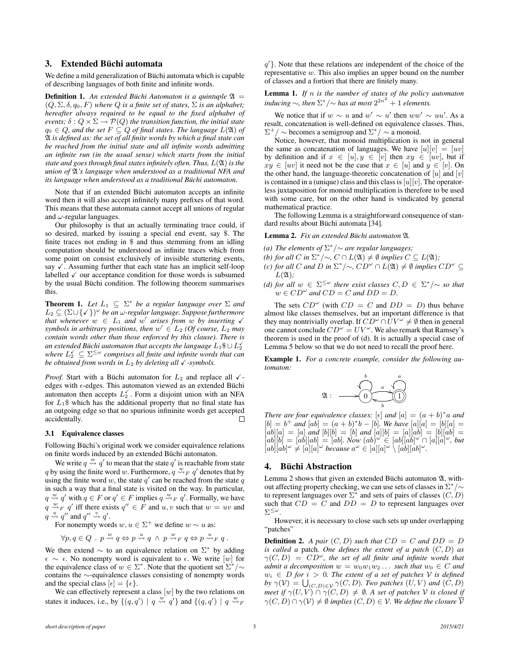## 3. Extended Büchi automata

We define a mild generalization of Büchi automata which is capable of describing languages of both finite and infinite words.

**Definition 1.** An extended Büchi Automaton is a quintuple  $\mathfrak{A} =$  $(Q, \Sigma, \delta, q_0, F)$  *where*  $Q$  *is a finite set of states,*  $\Sigma$  *is an alphabet; hereafter always required to be equal to the fixed alphabet of events;*  $\delta: Q \times \Sigma \rightarrow \mathcal{P}(Q)$  *the transition function, the initial state*  $q_0 \in Q$ , and the set  $F \subseteq Q$  of final states. The language  $L(\mathfrak{A})$  of A *is defined as: the set of all finite words by which a final state can be reached from the initial state and all infinite words admitting an infinite run (in the usual sense) which starts from the initial state and goes through final states infinitely often. Thus,* L(A) *is the union of* A*'s language when understood as a traditional NFA and its language when understood as a traditional Buchi automaton. ¨*

Note that if an extended Büchi automaton accepts an infinite word then it will also accept infinitely many prefixes of that word. This means that these automata cannot accept all unions of regular and  $\omega$ -regular languages.

Our philosophy is that an actually terminating trace could, if so desired, marked by issuing a special end event, say \$. The finite traces not ending in \$ and thus stemming from an idling computation should be understood as infinite traces which from some point on consist exclusively of invisible stuttering events, say  $\checkmark$ . Assuming further that each state has an implicit self-loop labelled  $\checkmark$  our acceptance condition for those words is subsumed by the usual Büchi condition. The following theorem summarises this.

**Theorem 1.** Let  $L_1 \subseteq \Sigma^*$  be a regular language over  $\Sigma$  and L<sup>2</sup> ⊆ (Σ∪{X}) ω *be an* ω*-regular language. Suppose furthermore that whenever*  $w \in L_1$  *and*  $w'$  *arises from*  $w'$  *by inserting*  $\checkmark$ *symbols in arbitrary positions, then*  $w' \in L_2$  *(Of course,*  $L_2$  *may contain words other than those enforced by this clause). There is* an extended Büchi automaton that accepts the language  $L_1\$\cup L_2^\vee$ where  $L_2^{\swarrow} \subseteq \Sigma^{\leq \omega}$  comprises all finite and infinite words that can *be obtained from words in*  $L_2$  *by deleting all*  $\checkmark$  -symbols.

*Proof.* Start with a Büchi automaton for  $L_2$  and replace all  $\checkmark$ edges with  $\epsilon$ -edges. This automaton viewed as an extended Büchi automaton then accepts  $L_2^{\checkmark}$ . Form a disjoint union with an NFA for  $L_1$ \$ which has the additional property that no final state has an outgoing edge so that no spurious infininite words get accepted accidentally. П

#### 3.1 Equivalence classes

Following Büchi's original work we consider equivalence relations on finite words induced by an extended Büchi automaton.

We write  $q \stackrel{w}{\leadsto} q'$  to mean that the state  $q'$  is reachable from state q by using the finite word w. Furthermore,  $q \stackrel{w}{\leadsto}_F q'$  denotes that by using the finite word w, the state  $q'$  can be reached from the state  $q$ in such a way that a final state is visited on the way. In particular,  $q \stackrel{w}{\leadsto} q'$  with  $q \in F$  or  $q' \in F$  implies  $q \stackrel{w}{\leadsto} _F q'$ . Formally, we have  $\hat{q} \stackrel{w}{\leadsto_F} q'$  iff there exists  $q'' \in F$  and  $u, v$  such that  $w = uv$  and  $q \stackrel{u}{\leadsto} q''$  and  $q'' \stackrel{v}{\leadsto} q'$ .

For nonempty words  $w, u \in \Sigma^{+}$  we define  $w \sim u$  as:

$$
\forall p, q \in Q \; . \; p \stackrel{w}{\leadsto} q \Leftrightarrow p \stackrel{u}{\leadsto} q \ \wedge \ p \stackrel{w}{\leadsto}_F q \Leftrightarrow p \stackrel{u}{\leadsto}_F q.
$$

We then extend  $\sim$  to an equivalence relation on  $\Sigma^*$  by adding  $\epsilon \sim \epsilon$ . No nonempty word is equivalent to  $\epsilon$ . We write [w] for the equivalence class of  $w \in \Sigma^*$ . Note that the quotient set  $\Sigma^*/\sim$ contains the ∼-equivalence classes consisting of nonempty words and the special class  $[\epsilon] = {\epsilon}.$ 

We can effectively represent a class  $[w]$  by the two relations on states it induces, i.e., by  $\{(q,q') | q \stackrel{w}{\leadsto} q'\}$  and  $\{(q,q') | q \stackrel{w}{\leadsto} p'$ 

 $q'$ }. Note that these relations are independent of the choice of the representative w. This also implies an upper bound on the number of classes and a fortiori that there are finitely many.

Lemma 1. *If* n *is the number of states of the policy automaton inducing*  $\sim$ , *then*  $\Sigma^*/\sim$  *has at most*  $2^{2n^2} + 1$  *elements.* 

We notice that if  $w \sim u$  and  $w' \sim u'$  then  $ww' \sim uu'$ . As a result, concatenation is well-defined on equivalence classes. Thus,  $\Sigma^+$  /  $\sim$  becomes a semigroup and  $\Sigma^*$  /  $\sim$  a monoid.

Notice, however, that monoid multiplication is not in general the same as concatenation of languages. We have  $[u][v] = [uv]$ by definition and if  $x \in [u], y \in [v]$  then  $xy \in [uv]$ , but if  $xy \in [uv]$  it need not be the case that  $x \in [u]$  and  $y \in [v]$ . On the other hand, the language-theoretic concatenation of  $[u]$  and  $[v]$ is contained in a (unique) class and this class is  $[u][v]$ . The operatorless juxtaposition for monoid multiplication is therefore to be used with some care, but on the other hand is vindicated by general mathematical practice.

The following Lemma is a straightforward consequence of standard results about Büchi automata [34].

#### Lemma 2. *Fix an extended Buchi automaton ¨* A*.*

- (a) The elements of  $\Sigma^* / \sim$  are regular languages;
- *(b)* for all *C* in  $\Sigma^*/\sim$ ,  $C \cap L(\mathfrak{A}) \neq \emptyset$  implies  $C \subseteq L(\mathfrak{A})$ ;
- *(c)* for all *C* and *D* in  $\Sigma^*/\sim$ ,  $CD^\omega \cap L(\mathfrak{A}) \neq \emptyset$  implies  $CD^\omega \subseteq$  $L(\mathfrak{A})$ ;
- *(d)* for all  $w \in \Sigma^{\leq \omega}$  there exist classes  $C, D \in \Sigma^*/\sim$  so that  $w \in CD^{\omega}$  and  $CD = C$  and  $DD = D$ .

The sets  $CD^{\omega}$  (with  $CD = C$  and  $DD = D$ ) thus behave almost like classes themselves, but an important difference is that they may nontrivially overlap. If  $CD^{\omega} \cap \overline{U}V^{\omega} \neq \emptyset$  then in general one cannot conclude  $CD^{\omega} = UV^{\omega}$ . We also remark that Ramsey's theorem is used in the proof of (d). It is actually a special case of Lemma 5 below so that we do not need to recall the proof here.

Example 1. *For a concrete example, consider the following automaton:*



*There are four equivalence classes:*  $[\epsilon]$  *and*  $[a] = (a + b)^*a$  *and*  $[b] = b^+$  and  $[ab] = (a + b)^*b - [b]$ . We have  $[a][a] = [b][a] =$  $[a\bar{b}][a] = [a]$  and  $[b][b] = [b]$  and  $[a][b] = [a][ab] = [b][ab] = [a]$  $[a\overline{b}][b] = [ab][ab] = [ab]$ . Now  $(ab)^{\omega} \in [ab][ab]^{\omega} \cap [a][a]^{\omega}$ , but  $[ab][ab]^{\omega} \neq [a][a]^{\omega}$  because  $a^{\omega} \in [a][a]^{\omega} \setminus [ab][ab]^{\omega}$ .

#### 4. Büchi Abstraction

Lemma 2 shows that given an extended Büchi automaton  $\mathfrak{A}$ , without affecting property checking, we can use sets of classes in  $\Sigma^*/\sim$ to represent languages over  $\Sigma^*$  and sets of pairs of classes  $(C, D)$ such that  $CD = C$  and  $DD = D$  to represent languages over  $\Sigma^{\leq\omega}.$ 

However, it is necessary to close such sets up under overlapping "patches"

**Definition 2.** *A pair*  $(C, D)$  *such that*  $CD = C$  *and*  $DD = D$ *is called a* patch*. One defines the extent of a patch* (C, D) *as*  $\gamma(C, D) = C D^{\omega}$ , the set of all finite and infinite words that *admit a decomposition*  $w = w_0w_1w_2...$  *such that*  $w_0 \in C$  *and*  $w_i \in D$  *for*  $i > 0$ *. The extent of a set of patches* V *is defined by*  $\gamma(\mathcal{V}) = \bigcup_{(C,D) \in \mathcal{V}} \gamma(C, D)$ *. Two patches*  $(U, V)$  *and*  $(C, D)$ *meet if*  $\gamma(U, V) \cap \gamma(C, D) \neq \emptyset$ . A set of patches V is closed if  $\gamma(C, D) \cap \gamma(V) \neq \emptyset$  *implies*  $(C, D) \in V$ *. We define the closure*  $\overline{V}$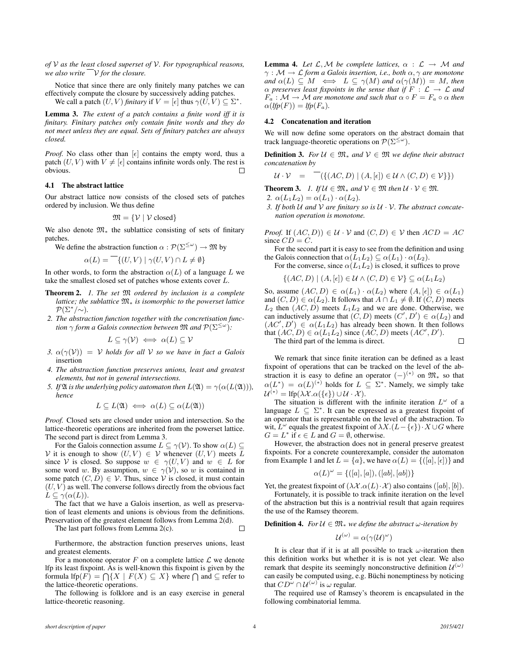*of* V *as the least closed superset of* V*. For typographical reasons, we also write*  $\sqrt{\frac{1}{r}}$  *v for the closure.* 

Notice that since there are only finitely many patches we can effectively compute the closure by successively adding patches.

We call a patch  $(U, V)$  *finitary* if  $V = [\epsilon]$  thus  $\gamma(\tilde{U}, V) \subseteq \Sigma^*$ .

Lemma 3. *The extent of a patch contains a finite word iff it is finitary. Finitary patches only contain finite words and they do not meet unless they are equal. Sets of finitary patches are always closed.*

*Proof.* No class other than  $[\epsilon]$  contains the empty word, thus a patch  $(U, V)$  with  $V \neq \lbrack \epsilon \rbrack$  contains infinite words only. The rest is obvious. П

#### 4.1 The abstract lattice

Our abstract lattice now consists of the closed sets of patches ordered by inclusion. We thus define

$$
\mathfrak{M} = \{ \mathcal{V} \mid \mathcal{V} \text{ closed} \}
$$

We also denote  $\mathfrak{M}_*$  the sublattice consisting of sets of finitary patches.

We define the abstraction function  $\alpha$  :  $\mathcal{P}(\Sigma^{\leq \omega}) \to \mathfrak{M}$  by

$$
\alpha(L) = \{ (U, V) \mid \gamma(U, V) \cap L \neq \emptyset \}
$$

In other words, to form the abstraction  $\alpha(L)$  of a language L we take the smallest closed set of patches whose extents cover L.

- Theorem 2. *1. The set* M *ordered by inclusion is a complete lattice; the sublattice* M<sup>∗</sup> *is isomorphic to the powerset lattice*  $\mathcal{P}(\Sigma^*/\!\sim).$
- *2. The abstraction function together with the concretisation function* γ *form a Galois connection between* M *and* P(Σ<sup>≤</sup><sup>ω</sup> )*:*

$$
L \subseteq \gamma(\mathcal{V}) \iff \alpha(L) \subseteq \mathcal{V}
$$

- *3.*  $\alpha(\gamma(V)) = V$  *holds for all V so we have in fact a Galois* insertion
- *4. The abstraction function preserves unions, least and greatest elements, but not in general intersections.*
- *5. If*  $\mathfrak A$  *is the underlying policy automaton then*  $L(\mathfrak A) = \gamma(\alpha(L(\mathfrak A)))$ *, hence*

$$
L \subseteq L(\mathfrak{A}) \iff \alpha(L) \subseteq \alpha(L(\mathfrak{A}))
$$

*Proof.* Closed sets are closed under union and intersection. So the lattice-theoretic operations are inherited from the powerset lattice. The second part is direct from Lemma 3.

For the Galois connection assume  $L \subseteq \gamma(V)$ . To show  $\alpha(L) \subseteq$ V it is enough to show  $(U, V) \in V$  whenever  $(U, V)$  meets L since V is closed. So suppose  $w \in \gamma(U, V)$  and  $w \in L$  for some word w. By assumption,  $w \in \gamma(\mathcal{V})$ , so w is contained in some patch  $(C, D) \in V$ . Thus, since V is closed, it must contain  $(U, V)$  as well. The converse follows directly from the obvious fact  $L \subseteq \gamma(\alpha(L)).$ 

The fact that we have a Galois insertion, as well as preservation of least elements and unions is obvious from the definitions. Preservation of the greatest element follows from Lemma 2(d).

The last part follows from Lemma 2(c).

Furthermore, the abstraction function preserves unions, least and greatest elements.

For a monotone operator  $F$  on a complete lattice  $\mathcal L$  we denote lfp its least fixpoint. As is well-known this fixpoint is given by the formula lfp(F) =  $\bigcap \{X \mid F(X) \subseteq X\}$  where  $\bigcap$  and  $\subseteq$  refer to the lattice-theoretic operations.

The following is folklore and is an easy exercise in general lattice-theoretic reasoning.

**Lemma 4.** Let  $\mathcal{L}, \mathcal{M}$  be complete lattices,  $\alpha : \mathcal{L} \rightarrow \mathcal{M}$  and  $\gamma : \mathcal{M} \to \mathcal{L}$  *form a Galois insertion, i.e., both*  $\alpha, \gamma$  *are monotone and*  $\alpha(L) \subseteq M \iff L \subseteq \gamma(M)$  *and*  $\alpha(\gamma(M)) = M$ *, then*  $\alpha$  preserves least fixpoints in the sense that if  $F : \mathcal{L} \to \mathcal{L}$  and  $F_a: \mathcal{M} \to \mathcal{M}$  are monotone and such that  $\alpha \circ F = F_a \circ \alpha$  then  $\alpha(lfp(F)) = lfp(F_a).$ 

#### 4.2 Concatenation and iteration

We will now define some operators on the abstract domain that track language-theoretic operations on  $\mathcal{P}(\Sigma^{\leq \omega})$ .

**Definition 3.** *For*  $U \in \mathfrak{M}^*$  *and*  $V \in \mathfrak{M}$  *we define their abstract concatenation by*

$$
\mathcal{U} \cdot \mathcal{V} = \bigcap \{ \{ (AC, D) \mid (A, [\epsilon]) \in \mathcal{U} \land (C, D) \in \mathcal{V} \} \} \big)
$$

**Theorem 3.** *1.* If  $\mathcal{U} \in \mathfrak{M}^*$  and  $\mathcal{V} \in \mathfrak{M}$  then  $\mathcal{U} \cdot \mathcal{V} \in \mathfrak{M}$ .

*2.*  $\alpha(L_1L_2) = \alpha(L_1) \cdot \alpha(L_2)$ .

*3. If both* U *and* V *are finitary so is* U · V*. The abstract concatenation operation is monotone.*

*Proof.* If  $(AC, D)$   $\in U \cdot V$  and  $(C, D) \in V$  then  $ACD = AC$ since  $CD = C$ .

For the second part it is easy to see from the definition and using the Galois connection that  $\alpha(L_1L_2) \subseteq \alpha(L_1) \cdot \alpha(L_2)$ .

For the converse, since  $\alpha(L_1L_2)$  is closed, it suffices to prove

$$
\{(AC, D) \mid (A, [\epsilon]) \in \mathcal{U} \land (C, D) \in \mathcal{V}\} \subseteq \alpha(L_1 L_2)
$$

So, assume  $(AC, D) \in \alpha(L_1) \cdot \alpha(L_2)$  where  $(A, \lceil \epsilon \rceil) \in \alpha(L_1)$ and  $(C, D) \in \alpha(L_2)$ . It follows that  $A \cap L_1 \neq \emptyset$ . If  $(C, D)$  meets  $L_2$  then  $(AC, D)$  meets  $L_1L_2$  and we are done. Otherwise, we can inductively assume that  $(C, D)$  meets  $(C', D') \in \alpha(L_2)$  and  $(AC', D') \in \alpha(L_1L_2)$  has already been shown. It then follows that  $(AC, D) \in \alpha(L_1L_2)$  since  $(AC, D)$  meets  $(AC', D')$ .  $\Box$ 

The third part of the lemma is direct.

We remark that since finite iteration can be defined as a least fixpoint of operations that can be tracked on the level of the abstraction it is easy to define an operator  $(-)^{(*)}$  on  $\mathfrak{M}_{*}$  so that  $\alpha(L^*) = \alpha(L)^{(*)}$  holds for  $L \subseteq \Sigma^*$ . Namely, we simply take  $\mathcal{U}^{(*)} = \text{Ifp}(\lambda \mathcal{X}. \alpha(\{\epsilon\}) \cup \mathcal{U} \cdot \mathcal{X}).$ 

The situation is different with the infinite iteration  $L^{\omega}$  of a language  $L \subseteq \Sigma^*$ . It can be expressed as a greatest fixpoint of an operator that is representable on the level of the abstraction. To wit,  $\overline{L}^{\omega}$  equals the greatest fixpoint of  $\lambda X.(L - \{\epsilon\}) \cdot X \cup G$  where  $G = L^*$  if  $\epsilon \in L$  and  $G = \emptyset$ , otherwise.

However, the abstraction does not in general preserve greatest fixpoints. For a concrete counterexample, consider the automaton from Example 1 and let  $L = \{a\}$ , we have  $\alpha(L) = \{([a], [\epsilon])\}$  and

$$
\alpha(L)^{\omega} = \{([a], [a]), ([ab], [ab])\}
$$

Yet, the greatest fixpoint of  $(\lambda \mathcal{X}.\alpha(L) \cdot \mathcal{X})$  also contains  $([ab], [b])$ .

Fortunately, it is possible to track infinite iteration on the level of the abstraction but this is a nontrivial result that again requires the use of the Ramsey theorem.

**Definition 4.** *For*  $U \in \mathfrak{M}_*$  *we define the abstract*  $\omega$ *-iteration by* 

$$
\mathcal{U}^{(\omega)} = \alpha(\gamma(\mathcal{U})^{\omega})
$$

It is clear that if it is at all possible to track  $\omega$ -iteration then this definition works but whether it is is not yet clear. We also remark that despite its seemingly nonconstructive definition  $\mathcal{U}^{(\omega)}$ can easily be computed using, e.g. Büchi nonemptiness by noticing that  $CD^{\omega} \cap U^{(\omega)}$  is  $\omega$  regular.

The required use of Ramsey's theorem is encapsulated in the following combinatorial lemma.

 $\Box$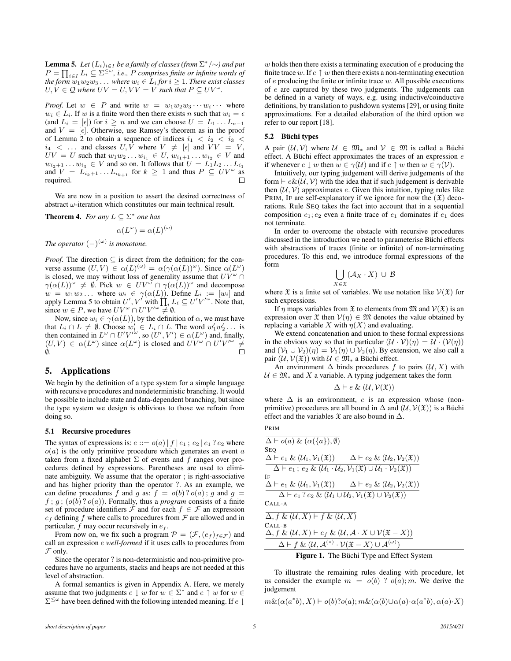**Lemma 5.** Let  $(L_i)_{i \in I}$  be a family of classes (from  $\sum^* / \sim$ ) and put  $P=\prod_{i\in I}L_i\subseteq \Sigma^{\leq\omega}$ , i.e.,  $P$  comprises finite or infinite words of  $a$  *the form*  $\overline{w}_1w_2w_3\dots$  *where*  $w_i\in L_i$  *for*  $i\geq 1.$  *There exist classes*  $U, V \in \mathcal{Q}$  where  $UV = U, VV = V$  such that  $P \subseteq UV^{\omega}$ .

*Proof.* Let  $w \in P$  and write  $w = w_1w_2w_3 \cdots w_i \cdots$  where  $w_i \in L_i$ . If w is a finite word then there exists n such that  $w_i = \epsilon$ (and  $L_i = [\epsilon]$ ) for  $i \geq n$  and we can choose  $U = L_1 \dots L_{n-1}$ and  $V = [\epsilon]$ . Otherwise, use Ramsey's theorem as in the proof of Lemma 2 to obtain a sequence of indices  $i_1$  <  $i_2$  <  $i_3$  <  $i_4$  < ... and classes  $U, V$  where  $V \neq [\epsilon]$  and  $VV = V$ ,  $UV = U$  such that  $w_1w_2...w_{i_1} \in U$ ,  $w_{i_1+1}...w_{i_2} \in V$  and  $w_{i_2+1} \ldots w_{i_3} \in V$  and so on. It follows that  $U = L_1 L_2 \ldots L_{i_1}$ and  $V = L_{i_k+1} \ldots L_{i_{k+1}}$  for  $k \geq 1$  and thus  $P \subseteq UV^{\omega}$  as required.  $\Box$ 

We are now in a position to assert the desired correctness of abstract  $\omega$ -iteration which constitutes our main technical result.

**Theorem 4.** For any  $L \subseteq \Sigma^*$  one has

$$
\alpha(L^{\omega}) = \alpha(L)^{(\omega)}
$$

*The operator*  $(-)^{(\omega)}$  *is monotone.* 

*Proof.* The direction  $\subseteq$  is direct from the definition; for the converse assume  $(U, V) \in \alpha(L)^{(\omega)} = \alpha(\gamma(\alpha(L))^{\omega})$ . Since  $\alpha(L^{\omega})$ is closed, we may without loss of generality assume that  $UV^{\omega}$   $\cap$  $\gamma(\alpha(L))^{\omega} \neq \emptyset$ . Pick  $w \in UV^{\omega} \cap \gamma(\alpha(L))^{\omega}$  and decompose  $w = w_1w_2...$  where  $w_i \in \gamma(\alpha(L))$ . Define  $L_i := [w_i]$  and apply Lemma 5 to obtain  $U', V'$  with  $\prod_i L_i \subseteq U'V'^{\omega}$ . Note that, since  $w \in P$ , we have  $UV^{\omega} \cap U'V'^{\omega} \neq \emptyset$ .

Now, since  $w_i \in \gamma(\alpha(L))$ , by the definition of  $\alpha$ , we must have that  $L_i \cap L \neq \emptyset$ . Choose  $w'_i \in L_i \cap L$ . The word  $w'_1 w'_2 \dots$  is then contained in  $L^{\omega} \cap U'V'^{\omega}$ , so  $(U', V') \in \alpha(L^{\omega})$  and, finally,  $(U, V) \in \alpha(L^{\omega})$  since  $\alpha(L^{\omega})$  is closed and  $U V^{\omega} \cap U' V'^{\omega} \neq$ ∅.

## 5. Applications

We begin by the definition of a type system for a simple language with recursive procedures and nondeterministic branching. It would be possible to include state and data-dependent branching, but since the type system we design is oblivious to those we refrain from doing so.

#### 5.1 Recursive procedures

The syntax of expressions is:  $e ::= o(a) | f | e_1; e_2 | e_1? e_2$  where  $o(a)$  is the only primitive procedure which generates an event a taken from a fixed alphabet  $\Sigma$  of events and f ranges over procedures defined by expressions. Parentheses are used to eliminate ambiguity. We assume that the operator ; is right-associative and has higher priority than the operator ?. As an example, we can define procedures f and g as:  $f = o(b)$ ?  $o(a)$ ; g and  $g =$  $f$ ;  $g$ ;  $(o(b)$ ? $o(a)$ ). Formally, thus a *program* consists of a finite set of procedure identifiers  $\mathcal F$  and for each  $f \in \mathcal F$  an expression  $e_f$  defining f where calls to procedures from  $\mathcal F$  are allowed and in particular,  $f$  may occur recursively in  $e_f$ .

From now on, we fix such a program  $\mathcal{P} = (\mathcal{F}, (e_f)_{f \in \mathcal{F}})$  and call an expression e *well-formed* if it uses calls to procedures from  $\mathcal F$  only.

Since the operator ? is non-deterministic and non-primitive procedures have no arguments, stacks and heaps are not needed at this level of abstraction.

A formal semantics is given in Appendix A. Here, we merely assume that two judgments  $e \downarrow w$  for  $w \in \Sigma^*$  and  $e \uparrow w$  for  $w \in$  $\Sigma^{\leq\omega}$  have been defined with the following intended meaning. If  $e\downarrow$ 

 $w$  holds then there exists a terminating execution of  $e$  producing the finite trace w. If  $e \uparrow w$  then there exists a non-terminating execution of  $e$  producing the finite or infinite trace  $w$ . All possible executions of e are captured by these two judgments. The judgements can be defined in a variety of ways, e.g. using inductive/coinductive definitions, by translation to pushdown systems [29], or using finite approximations. For a detailed elaboration of the third option we refer to our report [18].

## 5.2 Büchi types

A pair  $(\mathcal{U}, \mathcal{V})$  where  $\mathcal{U} \in \mathfrak{M}_*$  and  $\mathcal{V} \in \mathfrak{M}$  is called a Büchi effect. A Büchi effect approximates the traces of an expression  $e$ if whenever  $e \downarrow w$  then  $w \in \gamma(\mathcal{U})$  and if  $e \uparrow w$  then  $w \in \gamma(\mathcal{V})$ .

Intuitively, our typing judgement will derive judgements of the form  $\vdash e\&(\mathcal{U}, \mathcal{V})$  with the idea that if such judgement is derivable then  $(\mathcal{U}, \mathcal{V})$  approximates e. Given this intuition, typing rules like PRIM, IF are self-explanatory if we ignore for now the  $(\mathfrak{X})$  decorations. Rule SEQ takes the fact into account that in a sequential composition  $e_1$ ;  $e_2$  even a finite trace of  $e_1$  dominates if  $e_1$  does not terminate.

In order to overcome the obstacle with recursive procedures discussed in the introduction we need to parameterise Büchi effects with abstractions of traces (finite or infinite) of non-terminating procedures. To this end, we introduce formal expressions of the form

$$
\bigcup_{X\in\mathfrak{X}} (\mathcal{A}_X\cdot X)\,\cup\,\mathcal{B}
$$

where  $\mathfrak X$  is a finite set of variables. We use notation like  $\mathcal V(\mathfrak X)$  for such expressions.

If  $\eta$  maps variables from  $\mathfrak X$  to elements from  $\mathfrak M$  and  $\mathcal V(\mathfrak X)$  is an expression over  $\mathfrak X$  then  $\mathcal V(\eta) \in \mathfrak M$  denotes the value obtained by replacing a variable X with  $\eta(X)$  and evaluating.

We extend concatenation and union to these formal expressions in the obvious way so that in particular  $(U \cdot V)(\eta) = U \cdot (V(\eta))$ and  $(\mathcal{V}_1 \cup \mathcal{V}_2)(\eta) = \mathcal{V}_1(\eta) \cup \mathcal{V}_2(\eta)$ . By extension, we also call a pair  $(\mathcal{U}, \mathcal{V}(\mathfrak{X}))$  with  $\mathcal{U} \in \mathfrak{M}_*$  a Büchi effect.

An environment  $\Delta$  binds procedures f to pairs  $(\mathcal{U}, X)$  with  $U \in \mathfrak{M}_*$  and X a variable. A typing judgement takes the form

$$
\Delta \vdash e \& (\mathcal{U}, \mathcal{V}(\mathfrak{X}))
$$

where  $\Delta$  is an environment, e is an expression whose (nonprimitive) procedures are all bound in  $\Delta$  and  $(\mathcal{U}, \mathcal{V}(\mathfrak{X}))$  is a Büchi effect and the variables  $\mathfrak X$  are also bound in  $\Delta$ .

$$
P_{\boldsymbol{R}\boldsymbol{I} \boldsymbol{M}}
$$

$$
\frac{\Delta \vdash o(a) \& (\alpha(\lbrace a \rbrace), \emptyset)}{\Delta \vdash e_1 \& (\mathcal{U}_1, \mathcal{V}_1(\mathfrak{X}))} \qquad \Delta \vdash e_2 \& (\mathcal{U}_2, \mathcal{V}_2(\mathfrak{X}))}{\Delta \vdash e_1; e_2 \& (\mathcal{U}_1 \cdot \mathcal{U}_2, \mathcal{V}_1(\mathfrak{X}) \cup \mathcal{U}_1 \cdot \mathcal{V}_2(\mathfrak{X}))}
$$
\nIF\n
$$
\frac{\Delta \vdash e_1 \& (\mathcal{U}_1, \mathcal{V}_1(\mathfrak{X})) \qquad \Delta \vdash e_2 \& (\mathcal{U}_2, \mathcal{V}_2(\mathfrak{X}))}{\Delta \vdash e_1? e_2 \& (\mathcal{U}_1 \cup \mathcal{U}_2, \mathcal{V}_1(\mathfrak{X}) \cup \mathcal{V}_2(\mathfrak{X}))}
$$
\nCALLA\n
$$
\frac{\Delta, f \& (\mathcal{U}, X) \vdash f \& (\mathcal{U}, X)}{\Delta, f \& (\mathcal{U}, X) \vdash e_f \& (\mathcal{U}, A \cdot X \cup \mathcal{V}(\mathfrak{X} - X))}
$$
\nCALLB\n
$$
\frac{\Delta \vdash f \& (\mathcal{U}, A^{(*)} \cdot \mathcal{V}(\mathfrak{X} - X) \cup A^{(\omega)})}{\Delta \vdash f \& (\mathcal{U}, A^{(*)} \cdot \mathcal{V}(\mathfrak{X} - X) \cup A^{(\omega)})}
$$
\nFigure 1. The Riichi Type and Effect System

Figure 1. The Buchi Type and Effect System

To illustrate the remaining rules dealing with procedure, let us consider the example  $m = o(b)$  ?  $o(a); m$ . We derive the judgement

 $m\&(\alpha(a^*b), X) \vdash o(b)?o(a); m\&(\alpha(b)\cup\alpha(a)\cdot\alpha(a^*b), \alpha(a)\cdot X)$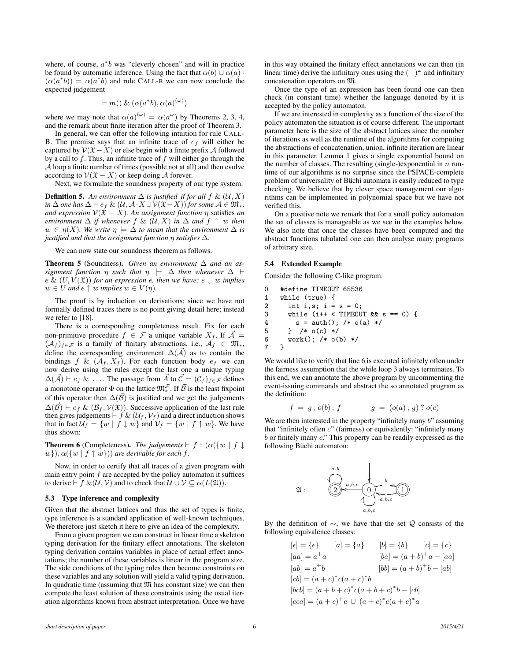where, of course,  $a^*b$  was "cleverly chosen" and will in practice be found by automatic inference. Using the fact that  $\alpha(b) \cup \alpha(a)$ .  $(\alpha(a^*b)) = \alpha(a^*b)$  and rule CALL-B we can now conclude the expected judgement

$$
\vdash m() \& (\alpha(a^*b), \alpha(a)^{(\omega)})
$$

where we may note that  $\alpha(a)^{(\omega)} = \alpha(a^{\omega})$  by Theorems 2, 3, 4, and the remark about finite iteration after the proof of Theorem 3.

In general, we can offer the following intuition for rule CALL-B. The premise says that an infinite trace of  $e_f$  will either be captured by  $V(\mathfrak{X}-X)$  or else begin with a finite prefix A followed by a call to  $f$ . Thus, an infinite trace of  $f$  will either go through the A loop a finite number of times (possible not at all) and then evolve according to  $V(\mathfrak{X} - X)$  or keep doing A forever.

Next, we formulate the soundness property of our type system.

**Definition 5.** An environment  $\Delta$  is justified if for all f &  $(\mathcal{U}, X)$ *in*  $\Delta$  *one has*  $\Delta$   $\vdash$  *e<sub>f</sub>* &  $(\mathcal{U}, \mathcal{A} \cdot X \cup \mathcal{V}(\mathfrak{X} - X))$  *for some*  $\mathcal{A} \in \mathfrak{M}_*$ *, and expression*  $V(\mathfrak{X} - X)$ *. An assignment function*  $\eta$  satisfies *an environment*  $\Delta$  *if whenever*  $f \& (\mathcal{U}, X)$  *in*  $\Delta$  *and*  $f \uparrow w$  *then*  $w \in \eta(X)$ *. We write*  $\eta \models \Delta$  *to mean that the environment*  $\Delta$  *is justified and that the assignment function* η *satisfies* ∆*.*

We can now state our soundness theorem as follows.

**Theorem 5** (Soundness). *Given an environment*  $\Delta$  *and an assignment function*  $\eta$  *such that*  $\eta$   $\models$   $\Delta$  *then whenever*  $\Delta$   $\vdash$ e &  $(U, V(\mathfrak{X}))$  *for an expression e, then we have:* e  $\downarrow w$  *implies*  $w \in U$  *and*  $e \uparrow w$  *implies*  $w \in V(\eta)$ *.* 

The proof is by induction on derivations; since we have not formally defined traces there is no point giving detail here; instead we refer to [18].

There is a corresponding completeness result. Fix for each non-primitive procedure  $f \in \mathcal{F}$  a unique variable  $X_f$ . If  $\overline{A}$  =  $(\mathcal{A}_f)_{f \in \mathcal{F}}$  is a family of finitary abstractions, i.e.,  $\mathcal{A}_f \in \mathfrak{M}_*$ , define the corresponding environment  $\Delta(\vec{\mathcal{A}})$  as to contain the bindings f &  $(A_f, X_f)$ . For each function body  $e_f$  we can now derive using the rules except the last one a unique typing  $\Delta(\vec{\mathcal{A}}) \vdash e_f \& \ldots$ . The passage from  $\vec{\mathcal{A}}$  to  $\vec{\mathcal{C}} = (\mathcal{C}_f)_{f \in \mathcal{F}}$  defines a monotone operator  $\Phi$  on the lattice  $\mathfrak{M}^{\mathcal{F}}_*$ . If  $\vec{\mathcal{B}}$  is the least fixpoint of this operator then  $\Delta(\vec{\beta})$  is justified and we get the judgements  $\Delta(\vec{\beta})$   $\vdash e_f \& (\beta_f, V(\mathfrak{X}))$ . Successive application of the last rule then gives judgements  $\vdash f \& (\mathcal{U}_f, \mathcal{V}_f)$  and a direct induction shows that in fact  $U_f = \{w \mid f \downarrow w\}$  and  $V_f = \{w \mid f \uparrow w\}$ . We have thus shown:

**Theorem 6** (Completeness). *The judgements*  $\vdash f : (\alpha({w \mid f \downarrow$  $w$ }),  $\alpha({w | f \uparrow w})$  *are derivable for each f.* 

Now, in order to certify that all traces of a given program with main entry point  $f$  are accepted by the policy automaton it suffices to derive  $\vdash f \& (\mathcal{U}, \mathcal{V})$  and to check that  $\mathcal{U} \cup \mathcal{V} \subseteq \alpha(L(\mathfrak{A})).$ 

#### 5.3 Type inference and complexity

Given that the abstract lattices and thus the set of types is finite, type inference is a standard application of well-known techniques. We therefore just sketch it here to give an idea of the complexity.

From a given program we can construct in linear time a skeleton typing derivation for the finitary effect annotations. The skeleton typing derivation contains variables in place of actual effect annotations; the number of these variables is linear in the program size. The side conditions of the typing rules then become constraints on these variables and any solution will yield a valid typing derivation. In quadratic time (assuming that  $M$  has constant size) we can then compute the least solution of these constraints using the usual iteration algorithms known from abstract interpretation. Once we have in this way obtained the finitary effect annotations we can then (in linear time) derive the infinitary ones using the  $(-)^\omega$  and infinitary concatenation operators on M.

Once the type of an expression has been found one can then check (in constant time) whether the language denoted by it is accepted by the policy automaton.

If we are interested in complexity as a function of the size of the policy automaton the situation is of course different. The important parameter here is the size of the abstract lattices since the number of iterations as well as the runtime of the algorithms for computing the abstractions of concatenation, union, infinite iteration are linear in this parameter. Lemma 1 gives a single exponential bound on the number of classes. The resulting (single-)exponential in  $n$  runtime of our algorithms is no surprise since the PSPACE-complete problem of universality of Büchi automata is easily reduced to type checking. We believe that by clever space management our algorithms can be implemented in polynomial space but we have not verified this.

On a positive note we remark that for a small policy automaton the set of classes is manageable as we see in the examples below. We also note that once the classes have been computed and the abstract functions tabulated one can then analyse many programs of arbitrary size.

#### 5.4 Extended Example

Consider the following C-like program:

0 #define TIMEOUT 65536<br>1 while (true) { while (true) { 2 int i, s;  $i = s = 0$ ; 3 while  $(i++ **TIMEOUT** & s == 0)$  {<br>4  $s = \text{auth}():$  /\*  $o(a) * /$ 4 s = auth(); /\* o(a) \*/<br>5 } /\* o(c) \*/ 5 } /\* o(c) \*/<br>6 work(); /\* o( 6 work(); /\* o(b) \*/ 7 }

We would like to verify that line 6 is executed infinitely often under the fairness assumption that the while loop 3 always terminates. To this end, we can annotate the above program by uncommenting the event-issuing commands and abstract the so annotated program as the definition:

$$
f = g
$$
;  $o(b)$ ;  $f$   $g = (o(a); g)$ ?  $o(c)$ 

We are then interested in the property "infinitely many  $b$ " assuming that "infinitely often  $c$ " (fairness) or equivalently: "infinitely many b or finitely many c." This property can be readily expressed as the following Büchi automaton:



By the definition of  $\sim$ , we have that the set Q consists of the following equivalence classes:

$$
[e] = \{e\} \qquad [a] = \{a\} \qquad [b] = \{b\} \qquad [c] = \{c\}
$$
  
\n
$$
[aa] = a^+a \qquad [ba] = (a+b)^+a - [aa]
$$
  
\n
$$
[ab] = a^+b \qquad [bb] = (a+b)^+b - [ab]
$$
  
\n
$$
[cb] = (a+c)^*c(a+c)^*b
$$
  
\n
$$
[bcb] = (a+b+c)^*c(a+b+c)^*b - [cb]
$$
  
\n
$$
[cca] = (a+c)^+c \cup (a+c)^*c(a+c)^*a
$$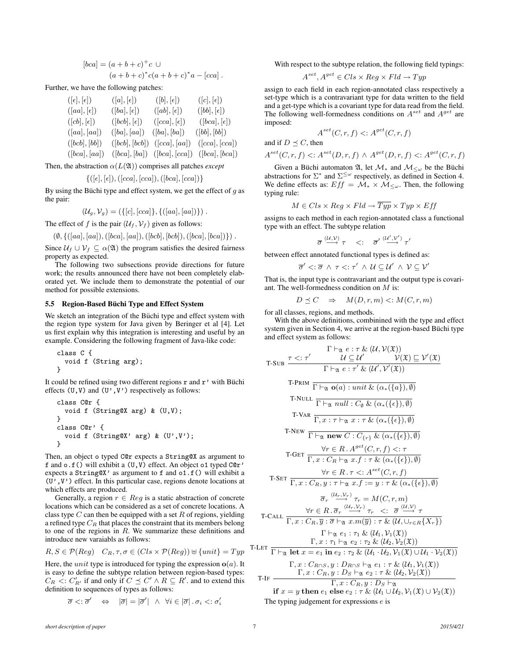$$
[bca] = (a+b+c)^{+}c \cup (a+b+c)^{*}c(a+b+c)^{*}a - [cca].
$$

Further, we have the following patches:

| $([\epsilon],[\epsilon])$ | $([a],[\epsilon])$    | $([b],[\epsilon])$                  | $([c],[\epsilon])$                   |
|---------------------------|-----------------------|-------------------------------------|--------------------------------------|
| $([aa],[\epsilon])$       | $([ba], [\epsilon])$  | $([ab], [\epsilon])$                | $([bb], [\epsilon])$                 |
| $([cb], [\epsilon])$      | $( bcb ,  \epsilon )$ | $([cca], [\epsilon])$               | $( bca ,  \epsilon )$                |
| ([aa],[aa])               | ([ba], [aa])          | ([ba], [ba])                        | ([bb], [bb])                         |
| ([bcb], [bb])             | ([bcb], [bcb])        | $(\vert cca \vert, \vert aa \vert)$ | $(\vert cca \vert, \vert cca \vert)$ |
| ([bca], [aa])             |                       | $([bca], [ba]) \ ([bca], [cca])$    | ( bca ,  bca )                       |

Then, the abstraction  $\alpha(L(\mathfrak{A}))$  comprises all patches *except* 

$$
\{([\epsilon], [\epsilon]), ([cca], [cca]), ([bca], [cca])\}
$$

By using the Büchi type and effect system, we get the effect of  $g$  as the pair:

$$
(\mathcal{U}_g, \mathcal{V}_g) = (\{ [c], [cca] \}, \{ ([aa], [aa]) \}) .
$$

The effect of f is the pair  $(\mathcal{U}_f, \mathcal{V}_f)$  given as follows:

$$
(\emptyset, \{([aa], [aa]), ([bca], [aa]), ([bcb], [bcb]), ([bca], [bca])\})
$$
.

Since  $U_f \cup V_f \subseteq \alpha(\mathfrak{A})$  the program satisfies the desired fairness property as expected.

The following two subsections provide directions for future work; the results announced there have not been completely elaborated yet. We include them to demonstrate the potential of our method for possible extensions.

#### 5.5 Region-Based Büchi Type and Effect System

We sketch an integration of the Büchi type and effect system with the region type system for Java given by Beringer et al [4]. Let us first explain why this integration is interesting and useful by an example. Considering the following fragment of Java-like code:

```
class C {
  void f (String arg);
}
```
It could be refined using two different regions  $r$  and  $r'$  with Büchi effects  $(U, V)$  and  $(U', V')$  respectively as follows:

class C@r { void f (String@X arg) & (U,V); } class C@r' { void f (String@X' arg) & (U',V'); }

Then, an object o typed C@r expects a String@X as argument to f and o.f() will exhibit a (U,V) effect. An object o1 typed C@r' expects a String@X' as argument to f and o1.f() will exhibit a  $(U', V')$  effect. In this particular case, regions denote locations at which effects are produced.

Generally, a region  $r \in Reg$  is a static abstraction of concrete locations which can be considered as a set of concrete locations. A class type  $C$  can then be equipped with a set  $R$  of regions, yielding a refined type  $C_R$  that places the constraint that its members belong to one of the regions in  $R$ . We summarize these definitions and introduce new varaiabls as follows:

$$
R, S \in \mathcal{P}(Reg) \quad C_R, \tau, \sigma \in (Cls \times \mathcal{P}(Reg)) \cup \{unit\} = Type
$$

Here, the *unit* type is introduced for typing the expression  $o(a)$ . It is easy to define the subtype relation between region-based types:  $C_R$  <:  $C'_{R'}$  if and only if  $C \preceq C' \wedge R \subseteq R'$  and to extend this definition to sequences of types as follows:

$$
\overline{\sigma} <: \overline{\sigma}' \quad \Leftrightarrow \quad |\overline{\sigma}| = |\overline{\sigma}'| \ \wedge \ \forall i \in |\overline{\sigma}| \, . \, \sigma_i <: \sigma'_i
$$

With respect to the subtype relation, the following field typings:

$$
A^{set}, A^{get} \in Cls \times Reg \times Fld \rightarrow Type
$$

assign to each field in each region-annotated class respectively a set-type which is a contravariant type for data written to the field and a get-type which is a covariant type for data read from the field. The following well-formedness conditions on  $A^{set}$  and  $A^{get}$  are imposed:

$$
A^{set}(C, r, f) \le A^{get}(C, r, f)
$$

and if  $D \preceq C$ , then

$$
A^{set}(C,r,f) <: A^{set}(D,r,f) \land A^{get}(D,r,f) <: A^{get}(C,r,f)
$$

Given a Büchi automaton  $\mathfrak{A}$ , let  $\mathcal{M}_*$  and  $\mathcal{M}_{\leq \omega}$  be the Büchi abstractions for  $\Sigma^*$  and  $\Sigma^{\leq \omega}$  respectively, as defined in Section 4. We define effects as:  $Eff = \mathcal{M}_* \times \mathcal{M}_{\leq \omega}$ . Then, the following typing rule:

$$
M \in Cls \times Reg \times Fld \rightarrow \overline{Typ} \times Type \times Eff
$$

assigns to each method in each region-annotated class a functional type with an effect. The subtype relation

$$
\overline{\sigma} \overset{(\mathcal{U},\mathcal{V})}{\longrightarrow} \tau \quad <: \quad \overline{\sigma}' \overset{(\mathcal{U}',\mathcal{V}')}{\longrightarrow} \tau'
$$

between effect annotated functional types is defined as:

$$
\overline{\sigma}' <: \overline{\sigma} \ \wedge \ \tau <: \tau' \ \wedge \ \mathcal{U} \subseteq \mathcal{U}' \ \wedge \ \mathcal{V} \subseteq \mathcal{V}'
$$

That is, the input type is contravariant and the output type is covariant. The well-formedness condition on M is:

 $D \preceq C \Rightarrow M(D, r, m) \prec M(C, r, m)$ 

for all classes, regions, and methods.

With the above definitions, combinined with the type and effect system given in Section 4, we arrive at the region-based Büchi type and effect system as follows:

T-SUB 
$$
\frac{\tau <:\tau' & \mathcal{U} \subseteq \mathcal{U'} & \mathcal{V}(\mathfrak{X}))}{\Gamma \vdash_{\mathfrak{A}} e : \tau' \& (\mathcal{U}, \mathcal{V'}(\mathfrak{X}))}
$$
\nT-PRIM 
$$
\frac{\tau \leftrightarrow \tau' \& (\mathcal{U}', \mathcal{V'}(\mathfrak{X}))}{\Gamma \vdash_{\mathfrak{A}} o(a) : \text{unit} \& (\alpha_*(\{a\}), \emptyset)}
$$
\nT-NULL 
$$
\frac{\tau \vdash_{\mathfrak{A}} o(a) : \text{unit} \& (\alpha_*(\{a\}), \emptyset)}{\Gamma \vdash_{\mathfrak{A}} null : C_{\emptyset} \& (\alpha_*(\{\epsilon\}), \emptyset)}
$$
\nT-VAR 
$$
\frac{\tau}{\Gamma, x : \tau \vdash_{\mathfrak{A}} x : \tau \& (\alpha_*(\{\epsilon\}), \emptyset)}
$$
\nT-NEW 
$$
\frac{\forall r \in R \cdot A^{get}(C, r, f) <:\tau}{\Gamma, x : C_R \vdash_{\mathfrak{A}} x : f : \tau \& (\alpha_*(\{\epsilon\}), \emptyset)}
$$
\nT-SET 
$$
\frac{\forall r \in R \cdot \tau <:\ A^{set}(C, r, f)}{\Gamma, x : C_R, y : \tau \vdash_{\mathfrak{A}} x : f : \tau \& (\alpha_*(\{\epsilon\}), \emptyset)}
$$
\nT-SET 
$$
\frac{\forall r \in R \cdot \tau <:\ A^{set}(C, r, f)}{\Gamma, x : C_R, y : \tau \vdash_{\mathfrak{A}} x : f : \neg y : \tau \& (\alpha_*(\{\epsilon\}), \emptyset)}
$$
\nT-CALL 
$$
\frac{\forall r \in R \cdot \overline{\sigma_r} \xrightarrow{(u_r, \mathcal{V}_r)} \tau_r}{\Gamma, x : C_R, \overline{y} : \overline{\sigma} \vdash_{\mathfrak{A}} x \cdot m(\overline{y}) : \tau \& (\mathcal{U}, \cup_{r \in R} \{X_r\})}
$$
\nT-F
$$
\frac{\Gamma \vdash_{\mathfrak{A}} e_1 : \tau_1 \& (\mathcal{U}_1, \mathcal{V}_1(\mathfrak{X}))}{\Gamma, x : \tau_1 \vdash_{\mathfrak
$$

The typing judgement for expressions e is

T-LE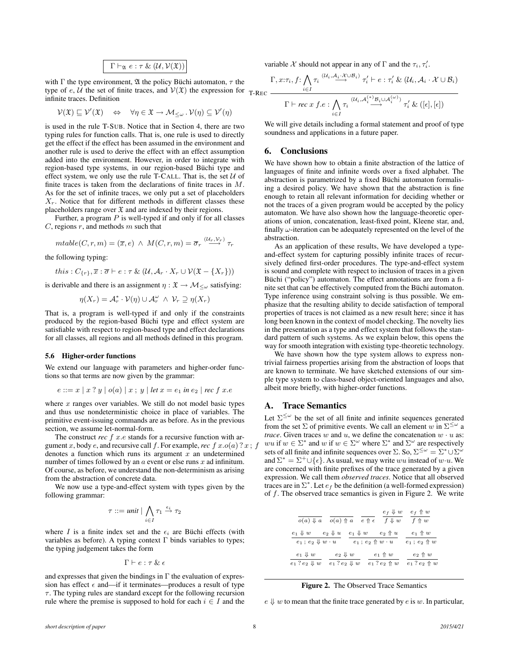$$
\Gamma \vdash_{\mathfrak{A}} e : \tau \& (\mathcal{U}, \mathcal{V}(\mathfrak{X}))
$$

with  $\Gamma$  the type environment,  $\mathfrak A$  the policy Büchi automaton,  $\tau$  the type of e, U the set of finite traces, and  $V(\mathfrak{X})$  the expression for T-REC infinite traces. Definition

$$
\mathcal{V}(\mathfrak{X}) \sqsubseteq \mathcal{V}'(\mathfrak{X}) \quad \Leftrightarrow \quad \forall \eta \in \mathfrak{X} \to \mathcal{M}_{\leq \omega} \cdot \mathcal{V}(\eta) \subseteq \mathcal{V}'(\eta)
$$

is used in the rule T-SUB. Notice that in Section 4, there are two typing rules for function calls. That is, one rule is used to directly get the effect if the effect has been assumed in the environment and another rule is used to derive the effect with an effect assumption added into the environment. However, in order to integrate with region-based type systems, in our region-based Büchi type and effect system, we only use the rule T-CALL. That is, the set  $U$  of finite traces is taken from the declarations of finite traces in M. As for the set of infinite traces, we only put a set of placeholders  $X_r$ . Notice that for different methods in different classes these placeholders range over  $\mathfrak X$  and are indexed by their regions.

Further, a program  $P$  is well-typed if and only if for all classes  $C$ , regions  $r$ , and methods  $m$  such that

$$
mtable(C,r,m) = (\overline{x},e) \ \wedge \ M(C,r,m) = \overline{\sigma}_r \stackrel{(U_r,V_r)}{\longrightarrow} \tau_r
$$

the following typing:

$$
this: C_{\{r\}}, \overline{x} : \overline{\sigma} \vdash e : \tau \& (\mathcal{U}, \mathcal{A}_r \cdot X_r \cup \mathcal{V}(\mathfrak{X} - \{X_r\}))
$$

is derivable and there is an assignment  $\eta : \mathfrak{X} \to \mathcal{M}_{\leq \omega}$  satisfying:

$$
\eta(X_r) = \mathcal{A}_r^* \cdot \mathcal{V}(\eta) \cup \mathcal{A}_r^\omega \ \wedge \ \mathcal{V}_r \supseteq \eta(X_r)
$$

That is, a program is well-typed if and only if the constraints produced by the region-based Büchi type and effect system are satisfiable with respect to region-based type and effect declarations for all classes, all regions and all methods defined in this program.

#### 5.6 Higher-order functions

We extend our language with parameters and higher-order functions so that terms are now given by the grammar:

$$
e ::= x | x ? y | o(a) | x ; y | let x = e_1 in e_2 | rec f x.e
$$

where  $x$  ranges over variables. We still do not model basic types and thus use nondeterministic choice in place of variables. The primitive event-issuing commands are as before. As in the previous section, we assume let-normal-form.

The construct *rec* f x.e stands for a recursive function with argument x, body e, and recursive call f. For example, rec f  $x.o(a)$  ?  $x$ ; f denotes a function which runs its argument  $x$  an undetermined number of times followed by an  $a$  event or else runs  $x$  ad infinitum. Of course, as before, we understand the non-determinism as arising from the abstraction of concrete data.

We now use a type-and-effect system with types given by the following grammar:

$$
\tau ::= unit \mid \bigwedge_{i \in I} \tau_1 \xrightarrow{\epsilon_i} \tau_2
$$

where I is a finite index set and the  $\epsilon_i$  are Büchi effects (with variables as before). A typing context  $\Gamma$  binds variables to types; the typing judgement takes the form

$$
\Gamma \vdash e : \tau \And \epsilon
$$

and expresses that given the bindings in  $\Gamma$  the evaluation of expression has effect  $\epsilon$  and—if it terminates—produces a result of type  $\tau$ . The typing rules are standard except for the following recursion rule where the premise is supposed to hold for each  $i \in I$  and the variable X should not appear in any of  $\Gamma$  and the  $\tau_i, \tau'_i$ .

$$
\frac{\Gamma, x:\tau_i, f: \bigwedge_{i \in I} \tau_i \stackrel{(\mathcal{U}_i, \mathcal{A}_i \cdot \mathcal{X} \cup \mathcal{B}_i)}{\longrightarrow} \tau_i' \vdash e: \tau_i' \& (\mathcal{U}_i, \mathcal{A}_i \cdot \mathcal{X} \cup \mathcal{B}_i)}{\Gamma \vdash \textit{rec} \ x \ f.e: \bigwedge_{i \in I} \tau_i \stackrel{(\mathcal{U}_i, \mathcal{A}_i^{(*)} \mathcal{B}_i \cup \mathcal{A}_i^{(\omega)})}{\longrightarrow} \tau_i' \ \& ([\epsilon], [\epsilon])}
$$

We will give details including a formal statement and proof of type soundness and applications in a future paper.

## 6. Conclusions

We have shown how to obtain a finite abstraction of the lattice of languages of finite and infinite words over a fixed alphabet. The abstraction is parametrized by a fixed Büchi automaton formalising a desired policy. We have shown that the abstraction is fine enough to retain all relevant information for deciding whether or not the traces of a given program would be accepted by the policy automaton. We have also shown how the language-theoretic operations of union, concatenation, least-fixed point, Kleene star, and, finally  $\omega$ -iteration can be adequately represented on the level of the abstraction.

As an application of these results, We have developed a typeand-effect system for capturing possibly infinite traces of recursively defined first-order procedures. The type-and-effect system is sound and complete with respect to inclusion of traces in a given Büchi ("policy") automaton. The effect annotations are from a finite set that can be effectively computed from the Büchi automaton. Type inference using constraint solving is thus possible. We emphasize that the resulting ability to decide satisfaction of temporal properties of traces is not claimed as a new result here; since it has long been known in the context of model checking. The novelty lies in the presentation as a type and effect system that follows the standard pattern of such systems. As we explain below, this opens the way for smooth integration with existing type-theoretic technology.

We have shown how the type system allows to express nontrivial fairness properties arising from the abstraction of loops that are known to terminate. We have sketched extensions of our simple type system to class-based object-oriented languages and also, albeit more briefly, with higher-order functions.

## A. Trace Semantics

Let  $\Sigma^{\leq \omega}$  be the set of all finite and infinite sequences generated from the set  $\Sigma$  of primitive events. We call an element w in  $\Sigma^{\leq \omega}$  a *trace*. Given traces w and u, we define the concatenation  $w \cdot u$  as: wu if  $w \in \Sigma^*$  and w if  $w \in \Sigma^{\omega}$  where  $\Sigma^*$  and  $\Sigma^{\omega}$  are respectively sets of all finite and infinite sequences over  $\Sigma$ . So,  $\Sigma^{\leq \omega} = \Sigma^* \cup \Sigma^{\omega}$ and  $\Sigma^* = \Sigma^+ \cup \{\epsilon\}$ . As usual, we may write ww instead of w $\cdot u$ . We are concerned with finite prefixes of the trace generated by a given expression. We call them *observed traces*. Notice that all observed traces are in  $\Sigma^*$ . Let  $e_f$  be the definition (a well-formed expression) of  $f$ . The observed trace semantics is given in Figure 2. We write

| $o(a) \Downarrow a$                | $o(a) \nightharpoonup a$   | $e_f \Downarrow w$<br>$f \Downarrow w$<br>$e \uparrow \epsilon$ | $e_f \nightharpoonup w$<br>$f \uparrow w$ |
|------------------------------------|----------------------------|-----------------------------------------------------------------|-------------------------------------------|
| $e_1\Downarrow w$                  | $e_2 \Downarrow u$         | $e_2\,\Uparrow\, u$                                             | $e_1 \nightharpoonup w$                   |
| $e_1$ ; $e_2 \Downarrow w \cdot u$ | $e_1 \Downarrow w$         | $e_1$ ; $e_2 \uparrow w \cdot u$                                | $e_1$ ; $e_2 \uparrow w$                  |
| $e_1 \Downarrow w$                 | $e_2 \Downarrow w$         | $e_1 \nightharpoonup w$                                         | $e_2 \uparrow w$                          |
| $e_1$ ? $e_2 \Downarrow w$         | $e_1$ ? $e_2 \Downarrow w$ | $e_1$ ? $e_2 \uparrow w$                                        | $e_1$ ? $e_2 \uparrow w$                  |

Figure 2. The Observed Trace Semantics

 $e \Downarrow w$  to mean that the finite trace generated by  $e$  is  $w$ . In particular,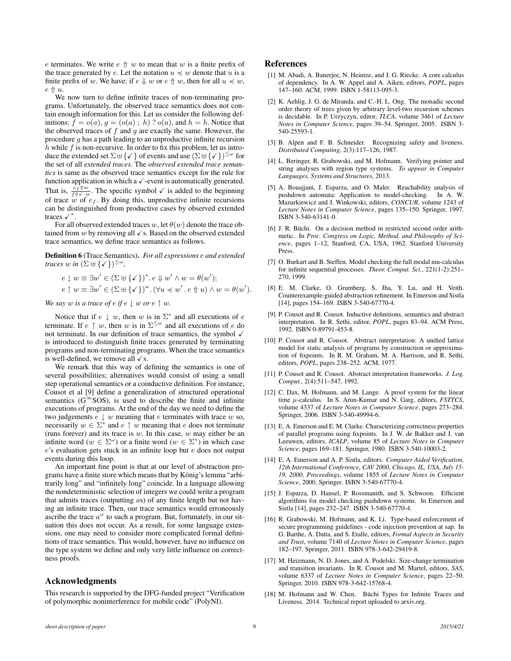e terminates. We write  $e \, \uparrow\, w$  to mean that w is a finite prefix of the trace generated by e. Let the notation  $u \preccurlyeq w$  denote that u is a finite prefix of w. We have: if  $e \Downarrow w$  or  $e \Uparrow w$ , then for all  $u \preccurlyeq w$ ,  $e \uparrow u$ .

We now turn to define infinite traces of non-terminating programs. Unfortunately, the observed trace semantics does not contain enough information for this. Let us consider the following definitions:  $f = o(a)$ ,  $g = (o(a); h)$  ?  $o(a)$ , and  $h = h$ . Notice that the observed traces of  $f$  and  $q$  are exactly the same. However, the procedure g has a path leading to an unproductive infinite recursion  $h$  while  $f$  is non-recursive. In order to fix this problem, let us introduce the extended set  $\Sigma \cup {\checkmark}$  of events and use  $(\Sigma \cup {\checkmark})^{\leq \omega}$  for the set of all *extended traces*. The *observed extended trace semantics* is same as the observed trace semantics except for the rule for function application in which a  $\checkmark$  -event is automatically generated. That is,  $\frac{e_f \hat{w}}{f \hat{w}}$ . The specific symbol  $\checkmark$  is added to the beginning of trace  $w$  of  $e_f$ . By doing this, unproductive infinite recursions can be distinguished from productive cases by observed extended traces  $\checkmark^*$ .

For all observed extended traces w, let  $\theta(w)$  denote the trace obtained from  $w$  by removing all  $\checkmark$  s. Based on the observed extended trace semantics, we define trace semantics as follows.

Definition 6 (Trace Semantics). *For all expressions* e *and extended traces*  $w$  *in*  $(\Sigma \cup \{\checkmark\})^{\leq \omega}$ ,

$$
e \downarrow w \equiv \exists w' \in (\Sigma \uplus \{\checkmark\})^* \cdot e \Downarrow w' \land w = \theta(w');
$$
  

$$
e \uparrow w \equiv \exists w' \in (\Sigma \uplus \{\checkmark\})^{\omega} \cdot (\forall u \preccurlyeq w' \cdot e \Uparrow u) \land w = \theta(w').
$$

*We say w is a trace of e if*  $e \downarrow w$  *or*  $e \uparrow w$ *.* 

Notice that if  $e \downarrow w$ , then w is in  $\Sigma^*$  and all executions of e terminate. If  $e \uparrow w$ , then w is in  $\Sigma^{\leq \omega}$  and all executions of e do not terminate. In our definition of trace semantics, the symbol  $\checkmark$ is introduced to distinguish finite traces generated by terminating programs and non-terminating programs. When the trace semantics is well-defined, we remove all  $\checkmark$  s.

We remark that this way of defining the semantics is one of several possibilities; alternatives would consist of using a small step operational semantics or a coinductive definition. For instance, Cousot et al [9] define a generalization of structured operational semantics ( $G^{\infty}$ SOS), is used to describe the finite and infinite executions of programs. At the end of the day we need to define the two judgements  $e \downarrow w$  meaning that  $e$  terminates with trace  $w$  so, necessarily  $w \in \Sigma^*$  and  $e \uparrow w$  meaning that e does not terminate (runs forever) and its trace is  $w$ . In this case,  $w$  may either be an infinite word  $(w \in \Sigma^{\omega})$  or a finite word  $(w \in \Sigma^*)$  in which case e's evaluation gets stuck in an infinite loop but e does not output events during this loop.

An important fine point is that at our level of abstraction programs have a finite store which means that by König's lemma "arbitrarily long" and "infinitely long" coincide. In a language allowing the nondeterministic selection of integers we could write a program that admits traces (outputting  $\alpha s$ ) of any finite length but not having an infinite trace. Then, our trace semantics would erroneously ascribe the trace  $a^{\omega}$  to such a program. But, fortunately, in our situation this does not occur. As a result, for some language extensions, one may need to consider more complicated formal definitions of trace semantics. This would, however, have no influence on the type system we define and only very little influence on correctness proofs.

### Acknowledgments

This research is supported by the DFG-funded project "Verification of polymorphic noninterference for mobile code" (PolyNI).

#### References

- [1] M. Abadi, A. Baneriee, N. Heintze, and J. G. Riecke. A core calculus of dependency. In A. W. Appel and A. Aiken, editors, *POPL*, pages 147–160. ACM, 1999. ISBN 1-58113-095-3.
- [2] K. Aehlig, J. G. de Miranda, and C.-H. L. Ong. The monadic second order theory of trees given by arbitrary level-two recursion schemes is decidable. In P. Urzyczyn, editor, *TLCA*, volume 3461 of *Lecture Notes in Computer Science*, pages 39–54. Springer, 2005. ISBN 3- 540-25593-1.
- [3] B. Alpen and F. B. Schneider. Recognizing safety and liveness. *Distributed Computing*, 2(3):117–126, 1987.
- [4] L. Beringer, R. Grabowski, and M. Hofmann. Verifying pointer and string analyses with region type systems. *To appear in Computer Languages, Systems and Structures*, 2013.
- [5] A. Bouajjani, J. Esparza, and O. Maler. Reachability analysis of pushdown automata: Application to model-checking. In A. W. Mazurkiewicz and J. Winkowski, editors, *CONCUR*, volume 1243 of *Lecture Notes in Computer Science*, pages 135–150. Springer, 1997. ISBN 3-540-63141-0.
- [6] J. R. Büchi. On a decision method in restricted second order arithmetic. In *Proc. Congress on Logic, Method, and Philosophy of Science*, pages 1–12, Stanford, CA, USA, 1962. Stanford University Press.
- [7] O. Burkart and B. Steffen. Model checking the full modal mu-calculus for infinite sequential processes. *Theor. Comput. Sci.*, 221(1-2):251– 270, 1999.
- [8] E. M. Clarke, O. Grumberg, S. Jha, Y. Lu, and H. Veith. Counterexample-guided abstraction refinement. In Emerson and Sistla [14], pages 154–169. ISBN 3-540-67770-4.
- [9] P. Cousot and R. Cousot. Inductive definitions, semantics and abstract interpretation. In R. Sethi, editor, *POPL*, pages 83–94. ACM Press, 1992. ISBN 0-89791-453-8.
- [10] P. Cousot and R. Cousot. Abstract interpretation: A unified lattice model for static analysis of programs by construction or approximation of fixpoints. In R. M. Graham, M. A. Harrison, and R. Sethi, editors, *POPL*, pages 238–252. ACM, 1977.
- [11] P. Cousot and R. Cousot. Abstract interpretation frameworks. *J. Log. Comput.*, 2(4):511–547, 1992.
- [12] C. Dax, M. Hofmann, and M. Lange. A proof system for the linear time µ-calculus. In S. Arun-Kumar and N. Garg, editors, *FSTTCS*, volume 4337 of *Lecture Notes in Computer Science*, pages 273–284. Springer, 2006. ISBN 3-540-49994-6.
- [13] E. A. Emerson and E. M. Clarke. Characterizing correctness properties of parallel programs using fixpoints. In J. W. de Bakker and J. van Leeuwen, editors, *ICALP*, volume 85 of *Lecture Notes in Computer Science*, pages 169–181. Springer, 1980. ISBN 3-540-10003-2.
- [14] E. A. Emerson and A. P. Sistla, editors. *Computer Aided Verification, 12th International Conference, CAV 2000, Chicago, IL, USA, July 15- 19, 2000, Proceedings*, volume 1855 of *Lecture Notes in Computer Science*, 2000. Springer. ISBN 3-540-67770-4.
- [15] J. Esparza, D. Hansel, P. Rossmanith, and S. Schwoon. Efficient algorithms for model checking pushdown systems. In Emerson and Sistla [14], pages 232–247. ISBN 3-540-67770-4.
- [16] R. Grabowski, M. Hofmann, and K. Li. Type-based enforcement of secure programming guidelines - code injection prevention at sap. In G. Barthe, A. Datta, and S. Etalle, editors, *Formal Aspects in Security and Trust*, volume 7140 of *Lecture Notes in Computer Science*, pages 182–197. Springer, 2011. ISBN 978-3-642-29419-8.
- [17] M. Heizmann, N. D. Jones, and A. Podelski. Size-change termination and transition invariants. In R. Cousot and M. Martel, editors, *SAS*, volume 6337 of *Lecture Notes in Computer Science*, pages 22–50. Springer, 2010. ISBN 978-3-642-15768-4.
- [18] M. Hofmann and W. Chen. Büchi Types for Infinite Traces and Liveness. 2014. Technical report uploaded to arxiv.org.